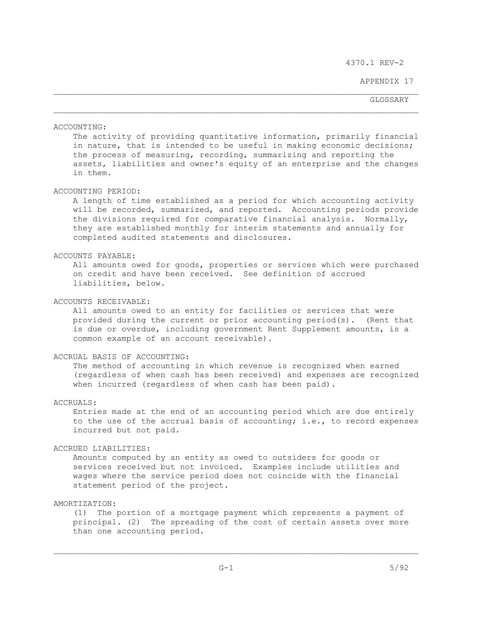APPENDIX 17

GLOSSARY GLOSSARY

ACCOUNTING:

 The activity of providing quantitative information, primarily financial in nature, that is intended to be useful in making economic decisions; the process of measuring, recording, summarizing and reporting the assets, liabilities and owner's equity of an enterprise and the changes in them.

# ACCOUNTING PERIOD:

 A length of time established as a period for which accounting activity will be recorded, summarized, and reported. Accounting periods provide the divisions required for comparative financial analysis. Normally, they are established monthly for interim statements and annually for completed audited statements and disclosures.

#### ACCOUNTS PAYABLE:

 All amounts owed for goods, properties or services which were purchased on credit and have been received. See definition of accrued liabilities, below.

#### ACCOUNTS RECEIVABLE:

 All amounts owed to an entity for facilities or services that were provided during the current or prior accounting period(s). (Rent that is due or overdue, including government Rent Supplement amounts, is a common example of an account receivable).

# ACCRUAL BASIS OF ACCOUNTING:

 The method of accounting in which revenue is recognized when earned (regardless of when cash has been received) and expenses are recognized when incurred (regardless of when cash has been paid).

#### ACCRUALS:

 Entries made at the end of an accounting period which are due entirely to the use of the accrual basis of accounting; i.e., to record expenses incurred but not paid.

### ACCRUED LIABILITIES:

 Amounts computed by an entity as owed to outsiders for goods or services received but not invoiced. Examples include utilities and wages where the service period does not coincide with the financial statement period of the project.

# AMORTIZATION:

 (1) The portion of a mortgage payment which represents a payment of principal. (2) The spreading of the cost of certain assets over more than one accounting period.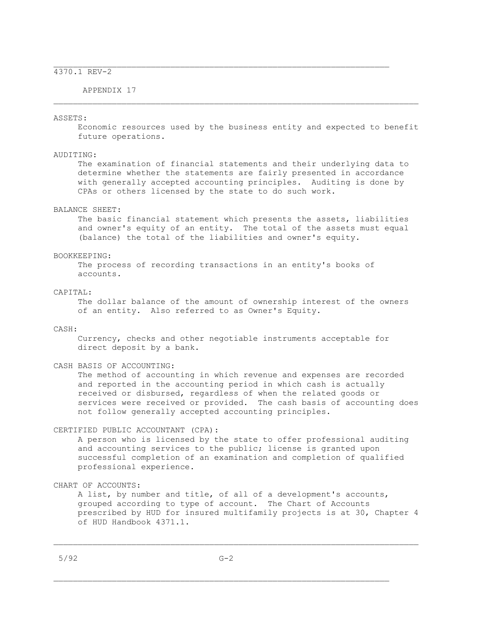APPENDIX 17

#### ASSETS:

 Economic resources used by the business entity and expected to benefit future operations.

 $\mathcal{L}_\text{max}$ 

#### AUDITING:

 The examination of financial statements and their underlying data to determine whether the statements are fairly presented in accordance with generally accepted accounting principles. Auditing is done by CPAs or others licensed by the state to do such work.

# BALANCE SHEET:

 The basic financial statement which presents the assets, liabilities and owner's equity of an entity. The total of the assets must equal (balance) the total of the liabilities and owner's equity.

#### BOOKKEEPING:

 The process of recording transactions in an entity's books of accounts.

#### CAPITAL:

 The dollar balance of the amount of ownership interest of the owners of an entity. Also referred to as Owner's Equity.

### CASH:

 Currency, checks and other negotiable instruments acceptable for direct deposit by a bank.

#### CASH BASIS OF ACCOUNTING:

 The method of accounting in which revenue and expenses are recorded and reported in the accounting period in which cash is actually received or disbursed, regardless of when the related goods or services were received or provided. The cash basis of accounting does not follow generally accepted accounting principles.

### CERTIFIED PUBLIC ACCOUNTANT (CPA):

 A person who is licensed by the state to offer professional auditing and accounting services to the public; license is granted upon successful completion of an examination and completion of qualified professional experience.

#### CHART OF ACCOUNTS:

 A list, by number and title, of all of a development's accounts, grouped according to type of account. The Chart of Accounts prescribed by HUD for insured multifamily projects is at 30, Chapter 4 of HUD Handbook 4371.1.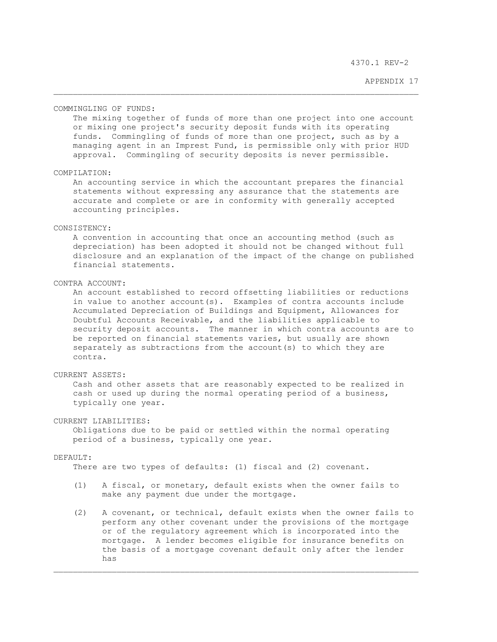APPENDIX 17

#### COMMINGLING OF FUNDS:

 The mixing together of funds of more than one project into one account or mixing one project's security deposit funds with its operating funds. Commingling of funds of more than one project, such as by a managing agent in an Imprest Fund, is permissible only with prior HUD approval. Commingling of security deposits is never permissible.

#### COMPILATION:

 An accounting service in which the accountant prepares the financial statements without expressing any assurance that the statements are accurate and complete or are in conformity with generally accepted accounting principles.

### CONSISTENCY:

 A convention in accounting that once an accounting method (such as depreciation) has been adopted it should not be changed without full disclosure and an explanation of the impact of the change on published financial statements.

### CONTRA ACCOUNT:

 An account established to record offsetting liabilities or reductions in value to another account(s). Examples of contra accounts include Accumulated Depreciation of Buildings and Equipment, Allowances for Doubtful Accounts Receivable, and the liabilities applicable to security deposit accounts. The manner in which contra accounts are to be reported on financial statements varies, but usually are shown separately as subtractions from the account(s) to which they are contra.

# CURRENT ASSETS:

 Cash and other assets that are reasonably expected to be realized in cash or used up during the normal operating period of a business, typically one year.

# CURRENT LIABILITIES:

 Obligations due to be paid or settled within the normal operating period of a business, typically one year.

#### DEFAULT:

There are two types of defaults: (1) fiscal and (2) covenant.

- (1) A fiscal, or monetary, default exists when the owner fails to make any payment due under the mortgage.
- (2) A covenant, or technical, default exists when the owner fails to perform any other covenant under the provisions of the mortgage or of the regulatory agreement which is incorporated into the mortgage. A lender becomes eligible for insurance benefits on the basis of a mortgage covenant default only after the lender has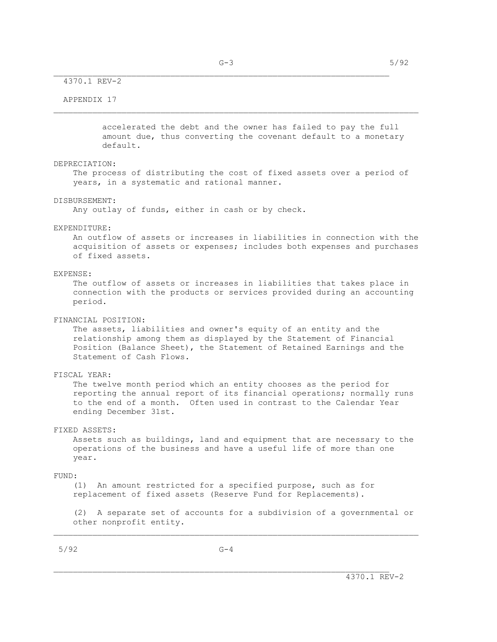### APPENDIX 17

 accelerated the debt and the owner has failed to pay the full amount due, thus converting the covenant default to a monetary default.

#### DEPRECIATION:

 The process of distributing the cost of fixed assets over a period of years, in a systematic and rational manner.

### DISBURSEMENT:

Any outlay of funds, either in cash or by check.

### EXPENDITURE:

 An outflow of assets or increases in liabilities in connection with the acquisition of assets or expenses; includes both expenses and purchases of fixed assets.

### EXPENSE:

 The outflow of assets or increases in liabilities that takes place in connection with the products or services provided during an accounting period.

#### FINANCIAL POSITION:

 The assets, liabilities and owner's equity of an entity and the relationship among them as displayed by the Statement of Financial Position (Balance Sheet), the Statement of Retained Earnings and the Statement of Cash Flows.

#### FISCAL YEAR:

 The twelve month period which an entity chooses as the period for reporting the annual report of its financial operations; normally runs to the end of a month. Often used in contrast to the Calendar Year ending December 31st.

#### FIXED ASSETS:

 Assets such as buildings, land and equipment that are necessary to the operations of the business and have a useful life of more than one year.

#### FUND:

 (1) An amount restricted for a specified purpose, such as for replacement of fixed assets (Reserve Fund for Replacements).

 (2) A separate set of accounts for a subdivision of a governmental or other nonprofit entity.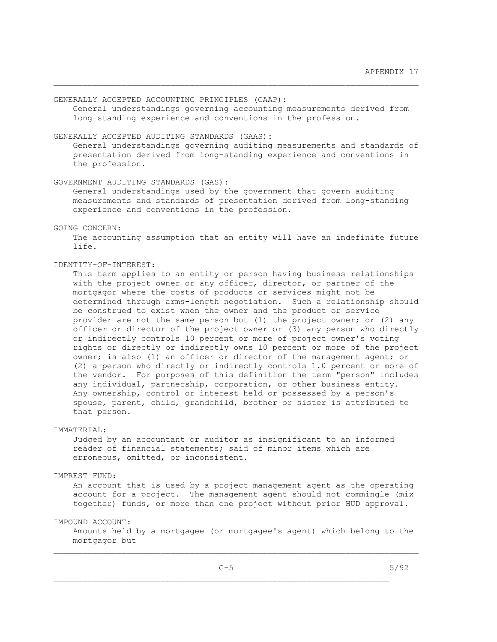GENERALLY ACCEPTED ACCOUNTING PRINCIPLES (GAAP):

 General understandings governing accounting measurements derived from long-standing experience and conventions in the profession.

# GENERALLY ACCEPTED AUDITING STANDARDS (GAAS):

 General understandings governing auditing measurements and standards of presentation derived from long-standing experience and conventions in the profession.

### GOVERNMENT AUDITING STANDARDS (GAS):

 General understandings used by the government that govern auditing measurements and standards of presentation derived from long-standing experience and conventions in the profession.

#### GOING CONCERN:

 The accounting assumption that an entity will have an indefinite future life.

### IDENTITY-OF-INTEREST:

 This term applies to an entity or person having business relationships with the project owner or any officer, director, or partner of the mortgagor where the costs of products or services might not be determined through arms-length negotiation. Such a relationship should be construed to exist when the owner and the product or service provider are not the same person but (1) the project owner; or (2) any officer or director of the project owner or (3) any person who directly or indirectly controls 10 percent or more of project owner's voting rights or directly or indirectly owns 10 percent or more of the project owner; is also (1) an officer or director of the management agent; or (2) a person who directly or indirectly controls 1.0 percent or more of the vendor. For purposes of this definition the term "person" includes any individual, partnership, corporation, or other business entity. Any ownership, control or interest held or possessed by a person's spouse, parent, child, grandchild, brother or sister is attributed to that person.

### IMMATERIAL:

 Judged by an accountant or auditor as insignificant to an informed reader of financial statements; said of minor items which are erroneous, omitted, or inconsistent.

### IMPREST FUND:

 An account that is used by a project management agent as the operating account for a project. The management agent should not commingle (mix together) funds, or more than one project without prior HUD approval.

### IMPOUND ACCOUNT:

 Amounts held by a mortgagee (or mortgagee's agent) which belong to the mortgagor but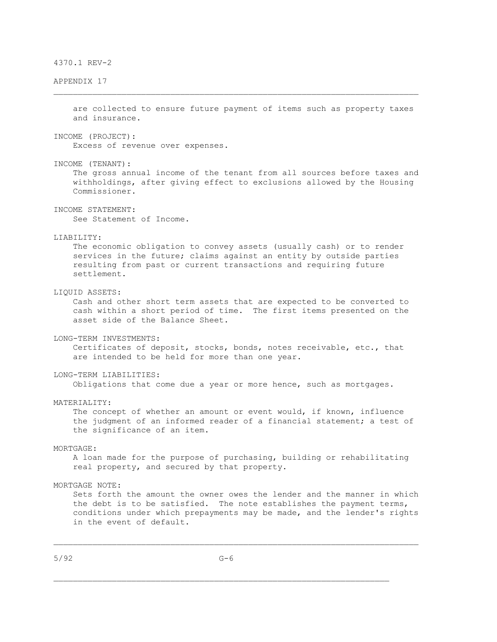### APPENDIX 17

 are collected to ensure future payment of items such as property taxes and insurance.

INCOME (PROJECT):

Excess of revenue over expenses.

INCOME (TENANT):

 The gross annual income of the tenant from all sources before taxes and withholdings, after giving effect to exclusions allowed by the Housing Commissioner.

INCOME STATEMENT:

See Statement of Income.

### LIABILITY:

 The economic obligation to convey assets (usually cash) or to render services in the future; claims against an entity by outside parties resulting from past or current transactions and requiring future settlement.

# LIQUID ASSETS:

 Cash and other short term assets that are expected to be converted to cash within a short period of time. The first items presented on the asset side of the Balance Sheet.

#### LONG-TERM INVESTMENTS:

 Certificates of deposit, stocks, bonds, notes receivable, etc., that are intended to be held for more than one year.

### LONG-TERM LIABILITIES:

Obligations that come due a year or more hence, such as mortgages.

#### MATERIALITY:

 The concept of whether an amount or event would, if known, influence the judgment of an informed reader of a financial statement; a test of the significance of an item.

### MORTGAGE:

 A loan made for the purpose of purchasing, building or rehabilitating real property, and secured by that property.

#### MORTGAGE NOTE:

 Sets forth the amount the owner owes the lender and the manner in which the debt is to be satisfied. The note establishes the payment terms, conditions under which prepayments may be made, and the lender's rights in the event of default.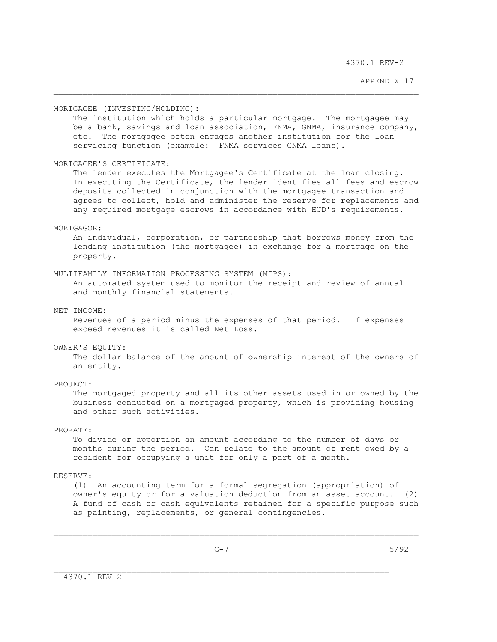APPENDIX 17

#### MORTGAGEE (INVESTING/HOLDING):

The institution which holds a particular mortgage. The mortgagee may be a bank, savings and loan association, FNMA, GNMA, insurance company, etc. The mortgagee often engages another institution for the loan servicing function (example: FNMA services GNMA loans).

#### MORTGAGEE'S CERTIFICATE:

 The lender executes the Mortgagee's Certificate at the loan closing. In executing the Certificate, the lender identifies all fees and escrow deposits collected in conjunction with the mortgagee transaction and agrees to collect, hold and administer the reserve for replacements and any required mortgage escrows in accordance with HUD's requirements.

### MORTGAGOR:

 An individual, corporation, or partnership that borrows money from the lending institution (the mortgagee) in exchange for a mortgage on the property.

#### MULTIFAMILY INFORMATION PROCESSING SYSTEM (MIPS):

 An automated system used to monitor the receipt and review of annual and monthly financial statements.

### NET INCOME:

 Revenues of a period minus the expenses of that period. If expenses exceed revenues it is called Net Loss.

## OWNER'S EQUITY:

 The dollar balance of the amount of ownership interest of the owners of an entity.

# PROJECT:

 The mortgaged property and all its other assets used in or owned by the business conducted on a mortgaged property, which is providing housing and other such activities.

### PRORATE:

 To divide or apportion an amount according to the number of days or months during the period. Can relate to the amount of rent owed by a resident for occupying a unit for only a part of a month.

### RESERVE:

 (1) An accounting term for a formal segregation (appropriation) of owner's equity or for a valuation deduction from an asset account. (2) A fund of cash or cash equivalents retained for a specific purpose such as painting, replacements, or general contingencies.